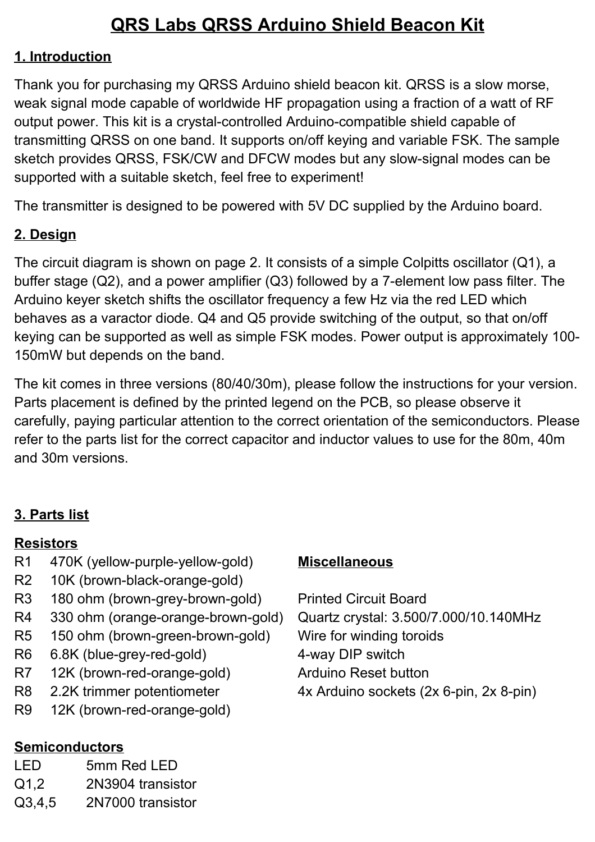# **QRS Labs QRSS Arduino Shield Beacon Kit**

#### **1. Introduction**

Thank you for purchasing my QRSS Arduino shield beacon kit. QRSS is a slow morse, weak signal mode capable of worldwide HF propagation using a fraction of a watt of RF output power. This kit is a crystal-controlled Arduino-compatible shield capable of transmitting QRSS on one band. It supports on/off keying and variable FSK. The sample sketch provides QRSS, FSK/CW and DFCW modes but any slow-signal modes can be supported with a suitable sketch, feel free to experiment!

The transmitter is designed to be powered with 5V DC supplied by the Arduino board.

## **2. Design**

The circuit diagram is shown on page 2. It consists of a simple Colpitts oscillator (Q1), a buffer stage (Q2), and a power amplifier (Q3) followed by a 7-element low pass filter. The Arduino keyer sketch shifts the oscillator frequency a few Hz via the red LED which behaves as a varactor diode. Q4 and Q5 provide switching of the output, so that on/off keying can be supported as well as simple FSK modes. Power output is approximately 100- 150mW but depends on the band.

The kit comes in three versions (80/40/30m), please follow the instructions for your version. Parts placement is defined by the printed legend on the PCB, so please observe it carefully, paying particular attention to the correct orientation of the semiconductors. Please refer to the parts list for the correct capacitor and inductor values to use for the 80m, 40m and 30m versions.

## **3. Parts list**

#### **Resistors**

- R1 470K (yellow-purple-yellow-gold)
- R2 10K (brown-black-orange-gold)
- R3 180 ohm (brown-grey-brown-gold)
- R4 330 ohm (orange-orange-brown-gold)
- R5 150 ohm (brown-green-brown-gold)
- R6 6.8K (blue-grey-red-gold)
- R7 12K (brown-red-orange-gold)
- R8 2.2K trimmer potentiometer
- R9 12K (brown-red-orange-gold)

## **Semiconductors**

- LED 5mm Red LED
- Q1,2 2N3904 transistor
- Q3,4,5 2N7000 transistor

#### **Miscellaneous**

- Printed Circuit Board
- Quartz crystal: 3.500/7.000/10.140MHz Wire for winding toroids 4-way DIP switch
- Arduino Reset button
- 4x Arduino sockets (2x 6-pin, 2x 8-pin)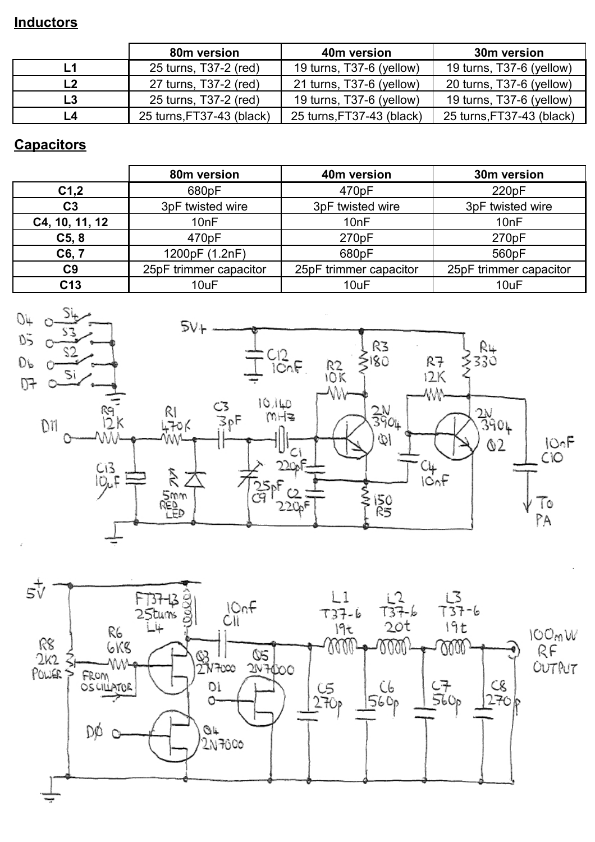#### **Inductors**

|    | 80m version               | 40m version               | 30m version               |
|----|---------------------------|---------------------------|---------------------------|
|    | 25 turns, T37-2 (red)     | 19 turns, T37-6 (yellow)  | 19 turns, T37-6 (yellow)  |
|    | 27 turns, T37-2 (red)     | 21 turns, T37-6 (yellow)  | 20 turns, T37-6 (yellow)  |
| L3 | 25 turns, T37-2 (red)     | 19 turns, T37-6 (yellow)  | 19 turns, T37-6 (yellow)  |
| IА | 25 turns, FT37-43 (black) | 25 turns, FT37-43 (black) | 25 turns, FT37-43 (black) |

## **Capacitors**

|                  | 80m version            | 40m version            | 30m version            |
|------------------|------------------------|------------------------|------------------------|
| C <sub>1,2</sub> | 680pF                  | 470pF                  | 220pF                  |
| C <sub>3</sub>   | 3pF twisted wire       | 3pF twisted wire       | 3pF twisted wire       |
| C4, 10, 11, 12   | 10nF                   | 10nF                   | 10nF                   |
| C5, 8            | 470pF                  | 270pF                  | 270pF                  |
| C6, 7            | 1200pF (1.2nF)         | 680pF                  | 560pF                  |
| C <sub>9</sub>   | 25pF trimmer capacitor | 25pF trimmer capacitor | 25pF trimmer capacitor |
| C <sub>13</sub>  | 10uF                   | 10uF                   | 10uF                   |



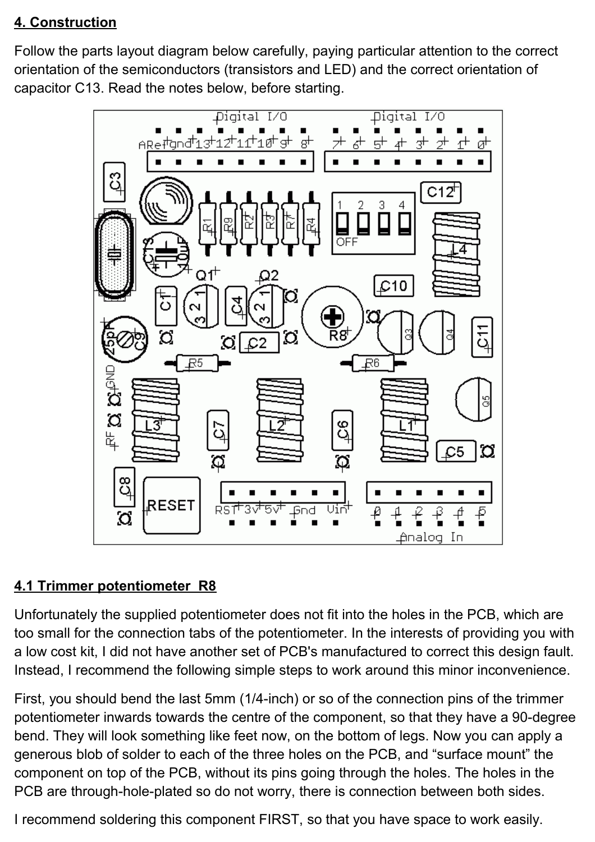## **4. Construction**

Follow the parts layout diagram below carefully, paying particular attention to the correct orientation of the semiconductors (transistors and LED) and the correct orientation of capacitor C13. Read the notes below, before starting.



## **4.1 Trimmer potentiometer R8**

Unfortunately the supplied potentiometer does not fit into the holes in the PCB, which are too small for the connection tabs of the potentiometer. In the interests of providing you with a low cost kit, I did not have another set of PCB's manufactured to correct this design fault. Instead, I recommend the following simple steps to work around this minor inconvenience.

First, you should bend the last 5mm (1/4-inch) or so of the connection pins of the trimmer potentiometer inwards towards the centre of the component, so that they have a 90-degree bend. They will look something like feet now, on the bottom of legs. Now you can apply a generous blob of solder to each of the three holes on the PCB, and "surface mount" the component on top of the PCB, without its pins going through the holes. The holes in the PCB are through-hole-plated so do not worry, there is connection between both sides.

I recommend soldering this component FIRST, so that you have space to work easily.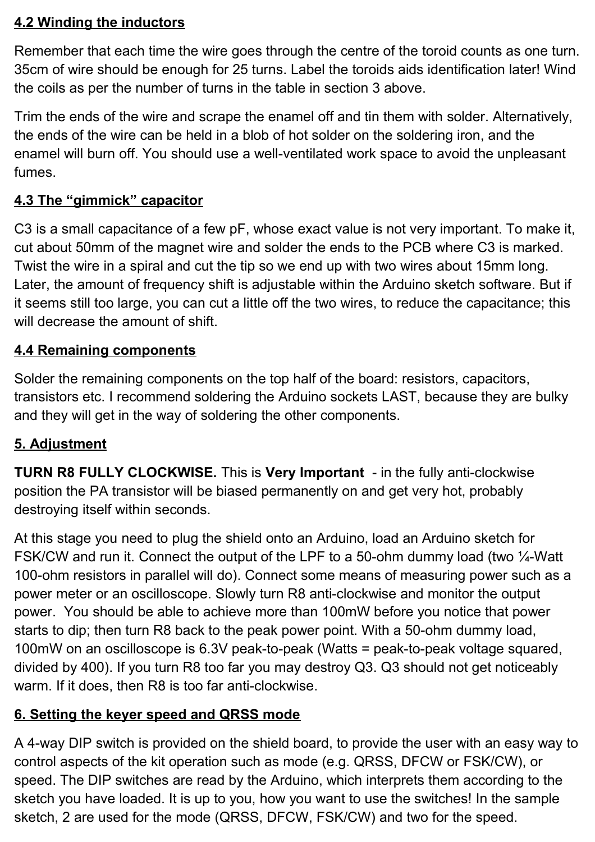#### **4.2 Winding the inductors**

Remember that each time the wire goes through the centre of the toroid counts as one turn. 35cm of wire should be enough for 25 turns. Label the toroids aids identification later! Wind the coils as per the number of turns in the table in section 3 above.

Trim the ends of the wire and scrape the enamel off and tin them with solder. Alternatively, the ends of the wire can be held in a blob of hot solder on the soldering iron, and the enamel will burn off. You should use a well-ventilated work space to avoid the unpleasant fumes.

### **4.3 The "gimmick" capacitor**

C3 is a small capacitance of a few pF, whose exact value is not very important. To make it, cut about 50mm of the magnet wire and solder the ends to the PCB where C3 is marked. Twist the wire in a spiral and cut the tip so we end up with two wires about 15mm long. Later, the amount of frequency shift is adjustable within the Arduino sketch software. But if it seems still too large, you can cut a little off the two wires, to reduce the capacitance; this will decrease the amount of shift.

## **4.4 Remaining components**

Solder the remaining components on the top half of the board: resistors, capacitors, transistors etc. I recommend soldering the Arduino sockets LAST, because they are bulky and they will get in the way of soldering the other components.

#### **5. Adjustment**

**TURN R8 FULLY CLOCKWISE.** This is **Very Important** - in the fully anti-clockwise position the PA transistor will be biased permanently on and get very hot, probably destroying itself within seconds.

At this stage you need to plug the shield onto an Arduino, load an Arduino sketch for FSK/CW and run it. Connect the output of the LPF to a 50-ohm dummy load (two ¼-Watt 100-ohm resistors in parallel will do). Connect some means of measuring power such as a power meter or an oscilloscope. Slowly turn R8 anti-clockwise and monitor the output power. You should be able to achieve more than 100mW before you notice that power starts to dip; then turn R8 back to the peak power point. With a 50-ohm dummy load, 100mW on an oscilloscope is 6.3V peak-to-peak (Watts = peak-to-peak voltage squared, divided by 400). If you turn R8 too far you may destroy Q3. Q3 should not get noticeably warm. If it does, then R8 is too far anti-clockwise.

#### **6. Setting the keyer speed and QRSS mode**

A 4-way DIP switch is provided on the shield board, to provide the user with an easy way to control aspects of the kit operation such as mode (e.g. QRSS, DFCW or FSK/CW), or speed. The DIP switches are read by the Arduino, which interprets them according to the sketch you have loaded. It is up to you, how you want to use the switches! In the sample sketch, 2 are used for the mode (QRSS, DFCW, FSK/CW) and two for the speed.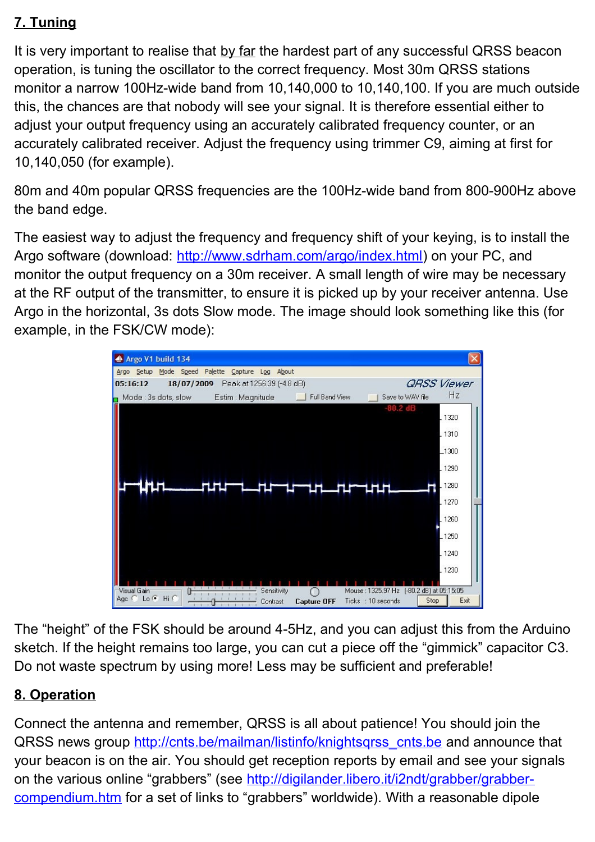## **7. Tuning**

It is very important to realise that by far the hardest part of any successful QRSS beacon operation, is tuning the oscillator to the correct frequency. Most 30m QRSS stations monitor a narrow 100Hz-wide band from 10,140,000 to 10,140,100. If you are much outside this, the chances are that nobody will see your signal. It is therefore essential either to adjust your output frequency using an accurately calibrated frequency counter, or an accurately calibrated receiver. Adjust the frequency using trimmer C9, aiming at first for 10,140,050 (for example).

80m and 40m popular QRSS frequencies are the 100Hz-wide band from 800-900Hz above the band edge.

The easiest way to adjust the frequency and frequency shift of your keying, is to install the Argo software (download: [http://www.sdrham.com/argo/index.html\)](http://www.sdrham.com/argo/index.html) on your PC, and monitor the output frequency on a 30m receiver. A small length of wire may be necessary at the RF output of the transmitter, to ensure it is picked up by your receiver antenna. Use Argo in the horizontal, 3s dots Slow mode. The image should look something like this (for example, in the FSK/CW mode):



The "height" of the FSK should be around 4-5Hz, and you can adjust this from the Arduino sketch. If the height remains too large, you can cut a piece off the "gimmick" capacitor C3. Do not waste spectrum by using more! Less may be sufficient and preferable!

## **8. Operation**

Connect the antenna and remember, QRSS is all about patience! You should join the QRSS news group http://cnts.be/mailman/listinfo/knightsgrss\_cnts.be and announce that your beacon is on the air. You should get reception reports by email and see your signals on the various online "grabbers" (see [http://digilander.libero.it/i2ndt/grabber/grabber](http://digilander.libero.it/i2ndt/grabber/grabber-compendium.htm)[compendium.htm](http://digilander.libero.it/i2ndt/grabber/grabber-compendium.htm) for a set of links to "grabbers" worldwide). With a reasonable dipole